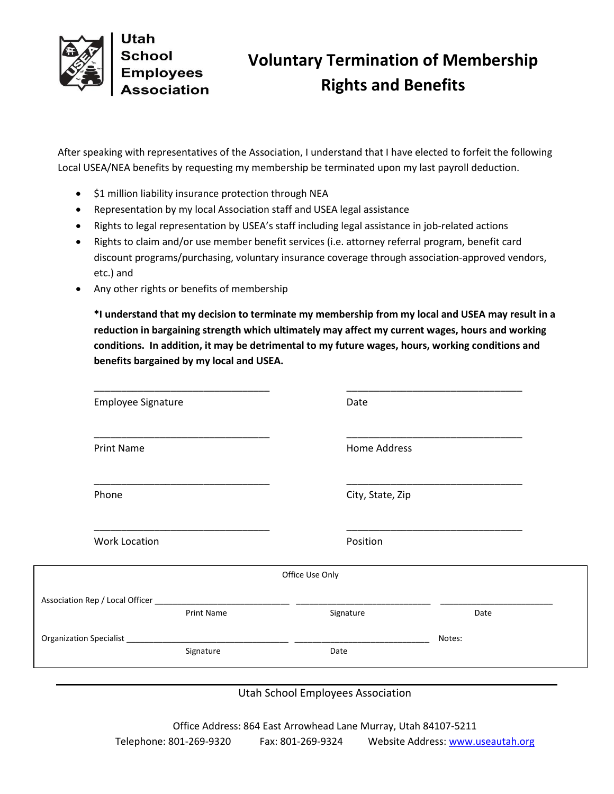

## **Voluntary Termination of Membership Rights and Benefits**

After speaking with representatives of the Association, I understand that I have elected to forfeit the following Local USEA/NEA benefits by requesting my membership be terminated upon my last payroll deduction.

- $\bullet$  \$1 million liability insurance protection through NEA
- Representation by my local Association staff and USEA legal assistance
- Rights to legal representation by USEA's staff including legal assistance in job-related actions
- Rights to claim and/or use member benefit services (i.e. attorney referral program, benefit card discount programs/purchasing, voluntary insurance coverage through association-approved vendors, etc.) and
- Any other rights or benefits of membership

**\*I understand that my decision to terminate my membership from my local and USEA may result in a reduction in bargaining strength which ultimately may affect my current wages, hours and working conditions. In addition, it may be detrimental to my future wages, hours, working conditions and benefits bargained by my local and USEA.**

| <b>Employee Signature</b> | Date                                                                                                                  |        |
|---------------------------|-----------------------------------------------------------------------------------------------------------------------|--------|
| <b>Print Name</b>         | <b>Home Address</b>                                                                                                   |        |
| Phone                     | City, State, Zip                                                                                                      |        |
| <b>Work Location</b>      | Position                                                                                                              |        |
|                           | Office Use Only                                                                                                       |        |
| <b>Print Name</b>         | Signature                                                                                                             | Date   |
|                           | <u> Albanya di Barat di Barat di Barat di Barat di Barat di Barat di Barat di Barat di Barat di Barat di Barat di</u> | Notes: |
| Signature                 | Date                                                                                                                  |        |

Utah School Employees Association

Office Address: 864 East Arrowhead Lane Murray, Utah 84107-5211 Telephone: 801-269-9320 Fax: 801-269-9324 Website Address[: www.useautah.org](http://www.useautah.org/)